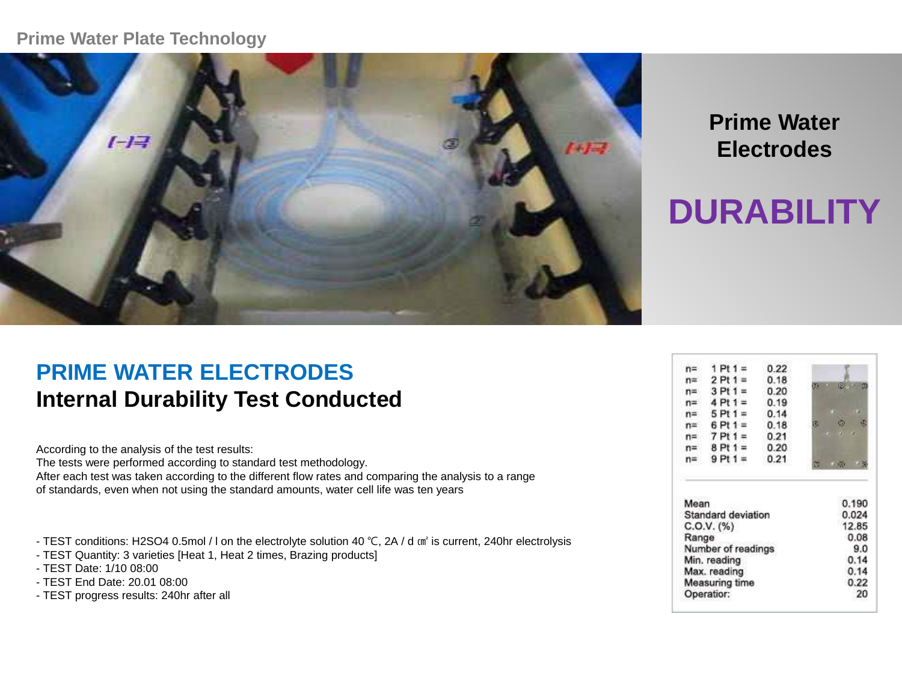#### **Prime Water Plate Technology**



## **Prime Water Electrodes**

# **DURABILITY**

## **PRIME WATER ELECTRODES Internal Durability Test Conducted**

According to the analysis of the test results: The tests were performed according to standard test methodology. After each test was taken according to the different flow rates and comparing the analysis to a range of standards, even when not using the standard amounts, water cell life was ten years

- TEST conditions: H2SO4 0.5mol / l on the electrolyte solution 40 ℃, 2A / d ㎠ is current, 240hr electrolysis
- TEST Quantity: 3 varieties [Heat 1, Heat 2 times, Brazing products]
- TEST Date: 1/10 08:00
- TEST End Date: 20.01 08:00
- TEST progress results: 240hr after all

|       | $1$ Pt $1 =$ | 0.22 |   |
|-------|--------------|------|---|
| $n =$ | $2$ Pt 1 =   | 0.18 |   |
| n≕    | $3$ Pt $1 =$ | 0.20 |   |
| $n =$ | $4$ Pt $1 =$ | 0.19 |   |
| n≕    | $5$ Pt 1 =   | 0.14 |   |
| $n =$ | $6$ Pt 1 =   | 0.18 | æ |
| n=    | $7$ Pt $1 =$ | 0.21 | ٠ |
| $n =$ | $8$ Pt 1 =   | 0.20 |   |
|       | $9$ Pt 1 =   | 0.21 |   |

| Mean                  | 0.190 |
|-----------------------|-------|
| Standard deviation    | 0.024 |
| C.0.V. (%)            | 12.85 |
| Range                 | 0.08  |
| Number of readings    | 9.0   |
| Min. reading          | 0.14  |
| Max. reading          | 0.14  |
| <b>Measuring time</b> | 0.22  |
| Operatior:            | 20    |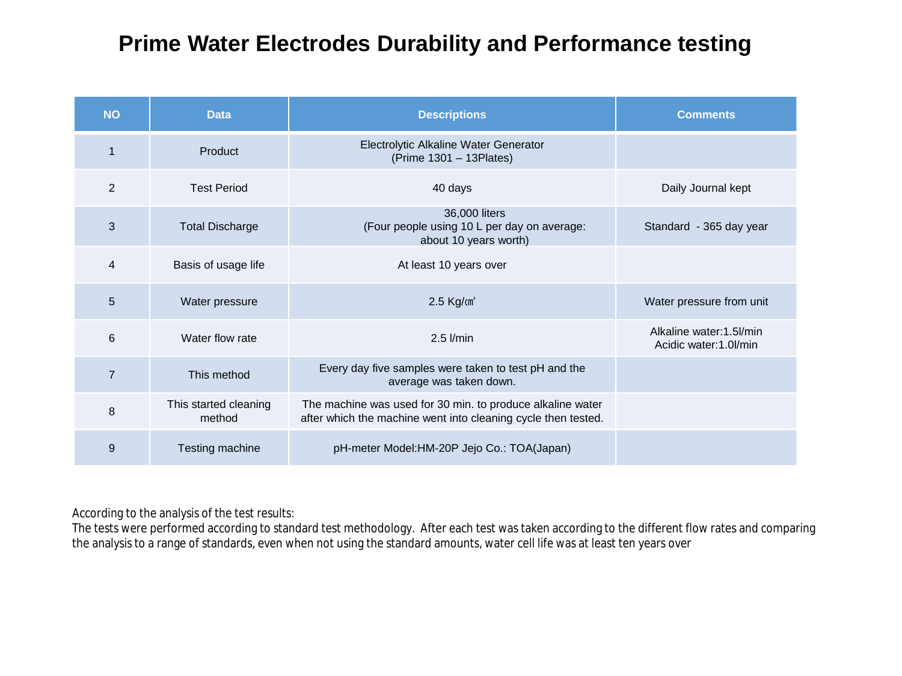| <b>NO</b>      | <b>Data</b>                     | <b>Descriptions</b>                                                                                                         | <b>Comments</b>                                   |
|----------------|---------------------------------|-----------------------------------------------------------------------------------------------------------------------------|---------------------------------------------------|
|                | Product                         | Electrolytic Alkaline Water Generator<br>(Prime 1301 - 13 Plates)                                                           |                                                   |
| 2              | <b>Test Period</b>              | 40 days                                                                                                                     | Daily Journal kept                                |
| 3              | <b>Total Discharge</b>          | 36,000 liters<br>(Four people using 10 L per day on average:<br>about 10 years worth)                                       | Standard - 365 day year                           |
| 4              | Basis of usage life             | At least 10 years over                                                                                                      |                                                   |
| 5              | Water pressure                  | $2.5$ Kg/ $cm2$                                                                                                             | Water pressure from unit                          |
| 6              | Water flow rate                 | $2.5$ $l/min$                                                                                                               | Alkaline water: 1.5l/min<br>Acidic water:1.0l/min |
| $\overline{7}$ | This method                     | Every day five samples were taken to test pH and the<br>average was taken down.                                             |                                                   |
| 8              | This started cleaning<br>method | The machine was used for 30 min. to produce alkaline water<br>after which the machine went into cleaning cycle then tested. |                                                   |
| 9              | Testing machine                 | pH-meter Model:HM-20P Jejo Co.: TOA(Japan)                                                                                  |                                                   |

According to the analysis of the test results:

The tests were performed according to standard test methodology. After each test was taken according to the different flow rates and comparing the analysis to a range of standards, even when not using the standard amounts, water cell life was at least ten years over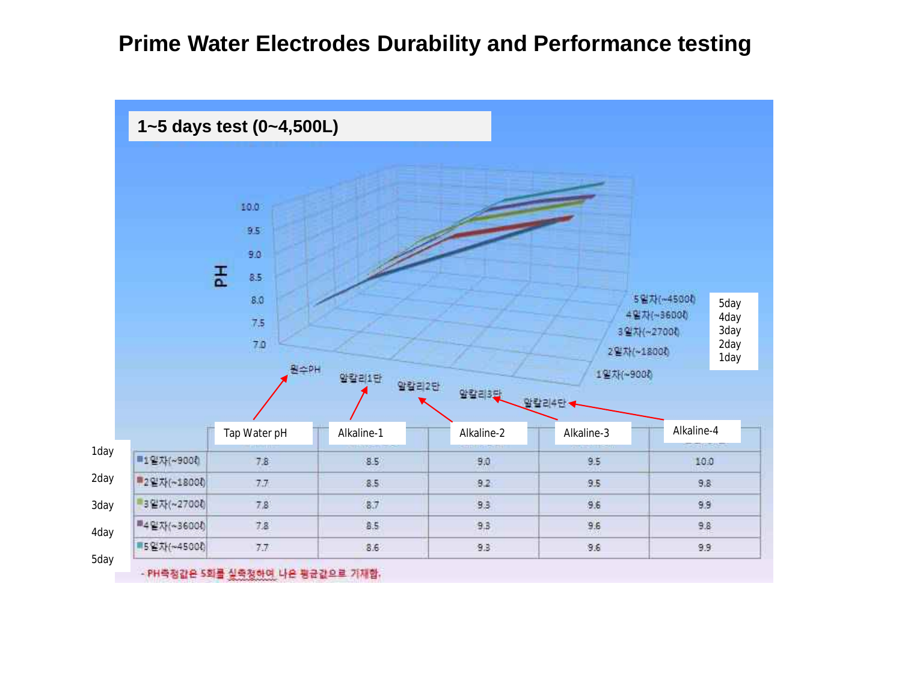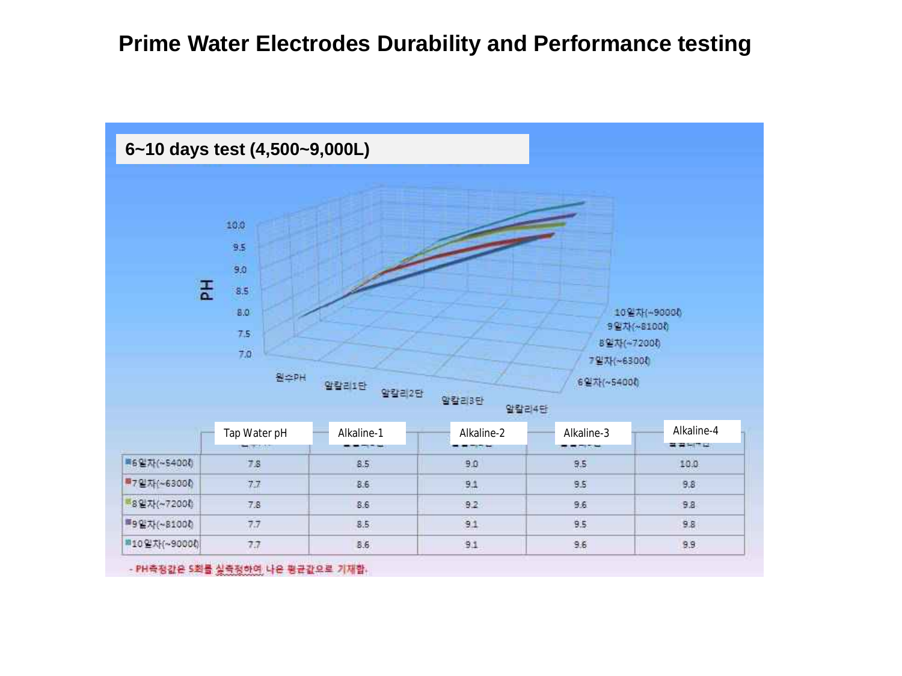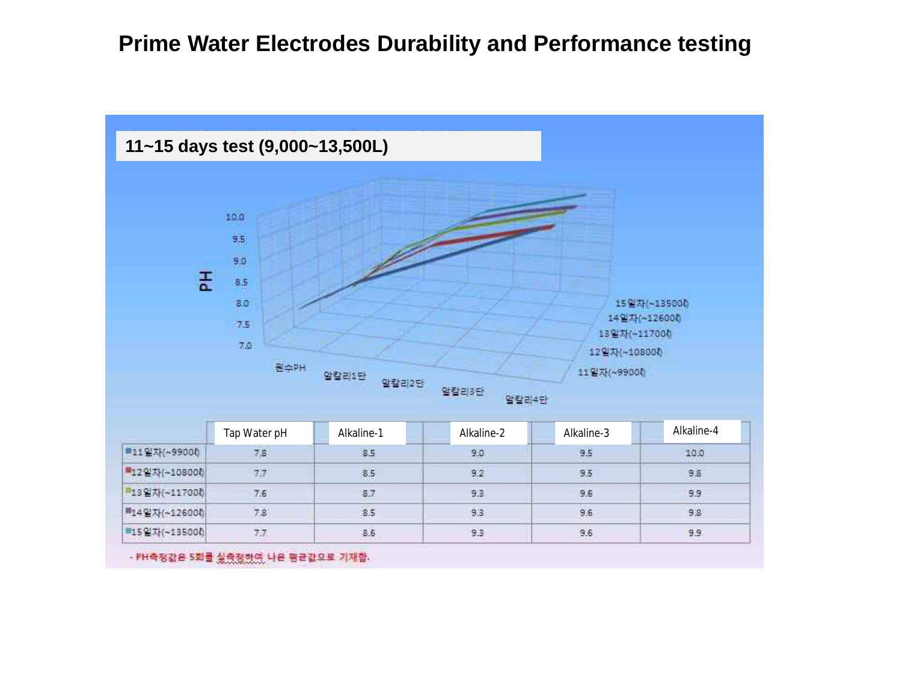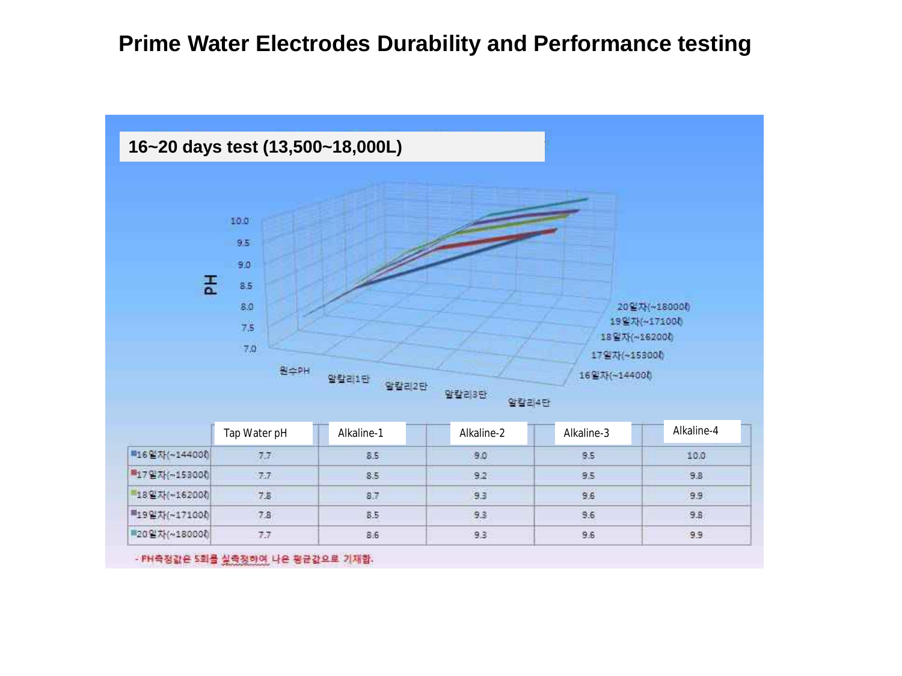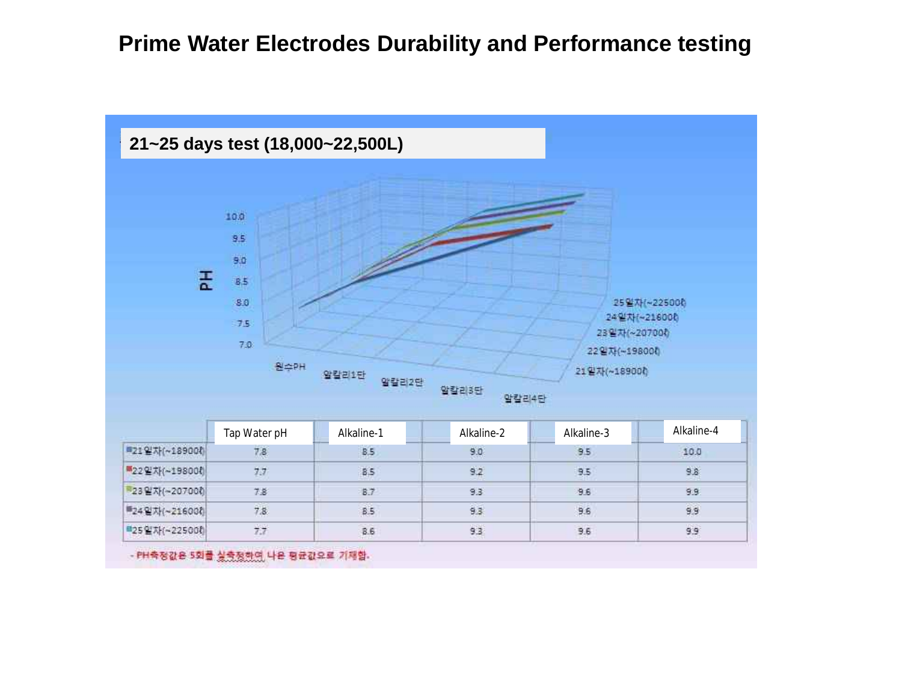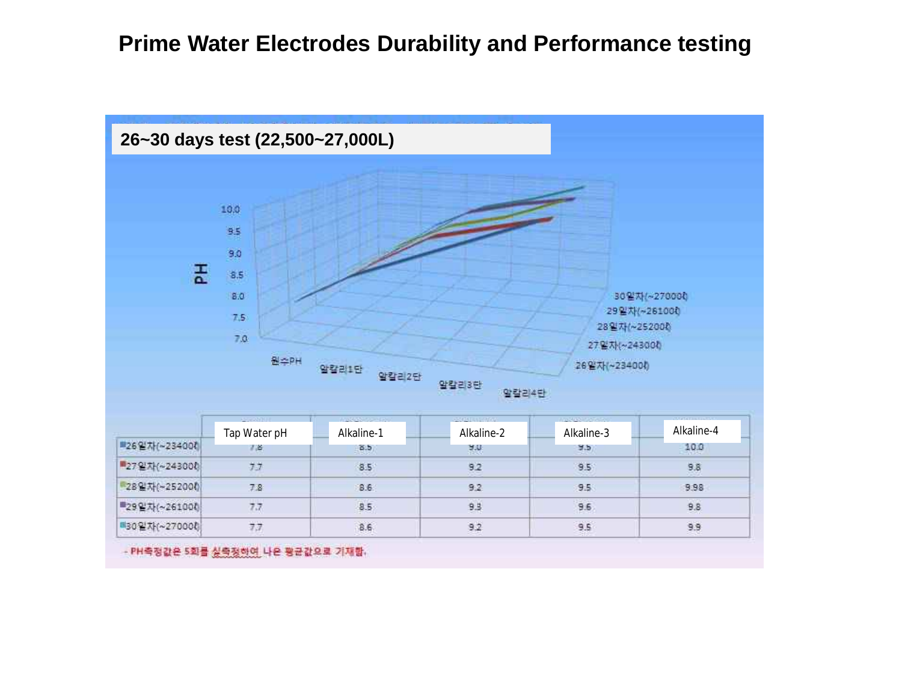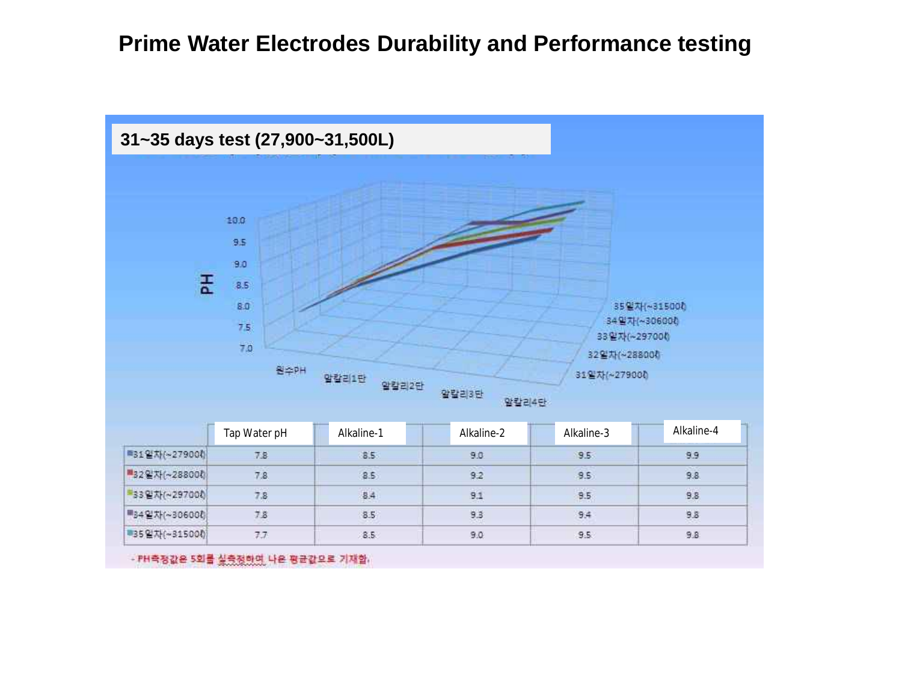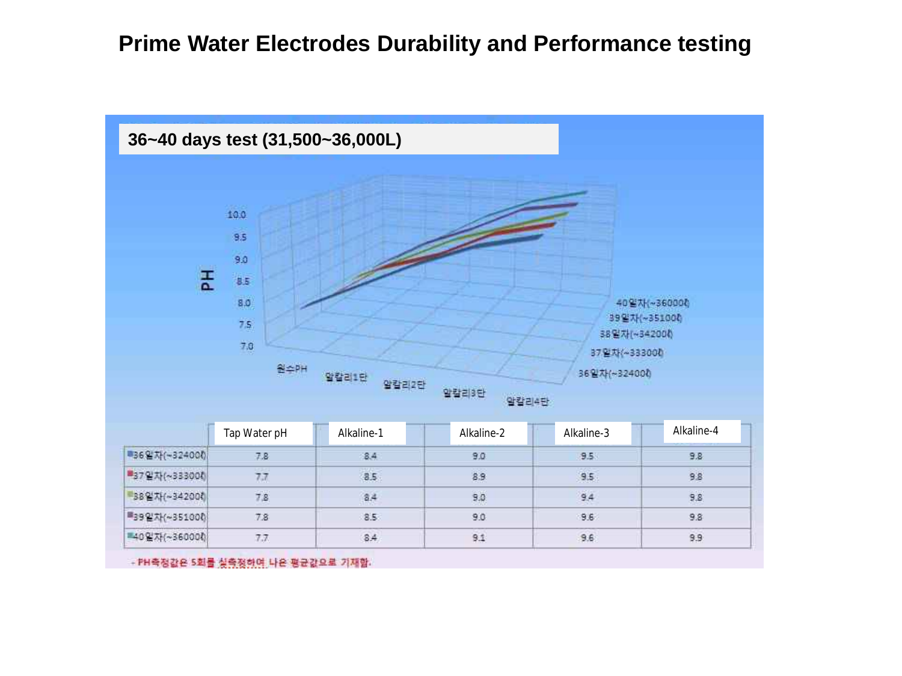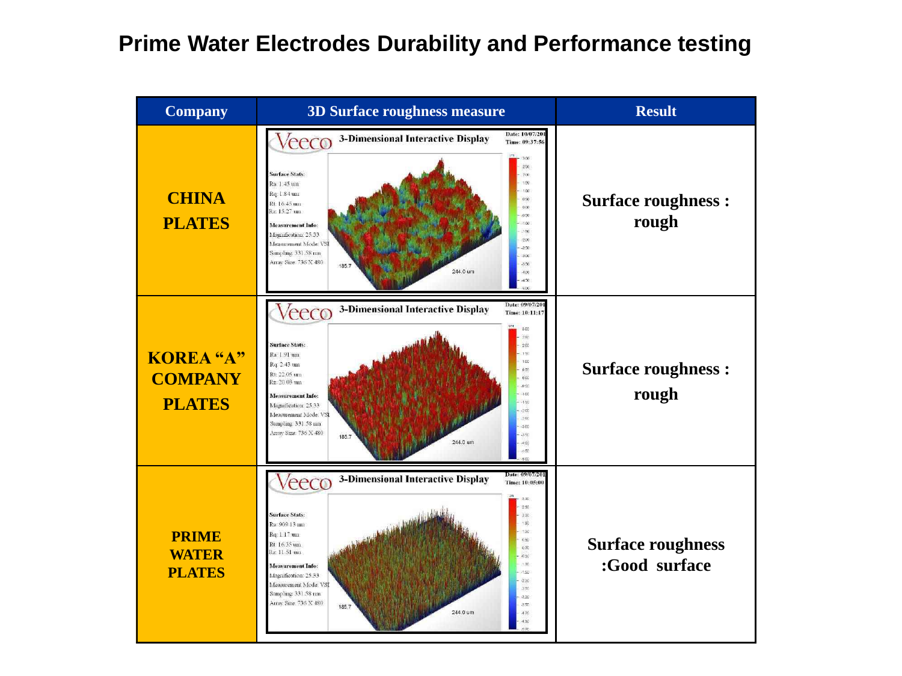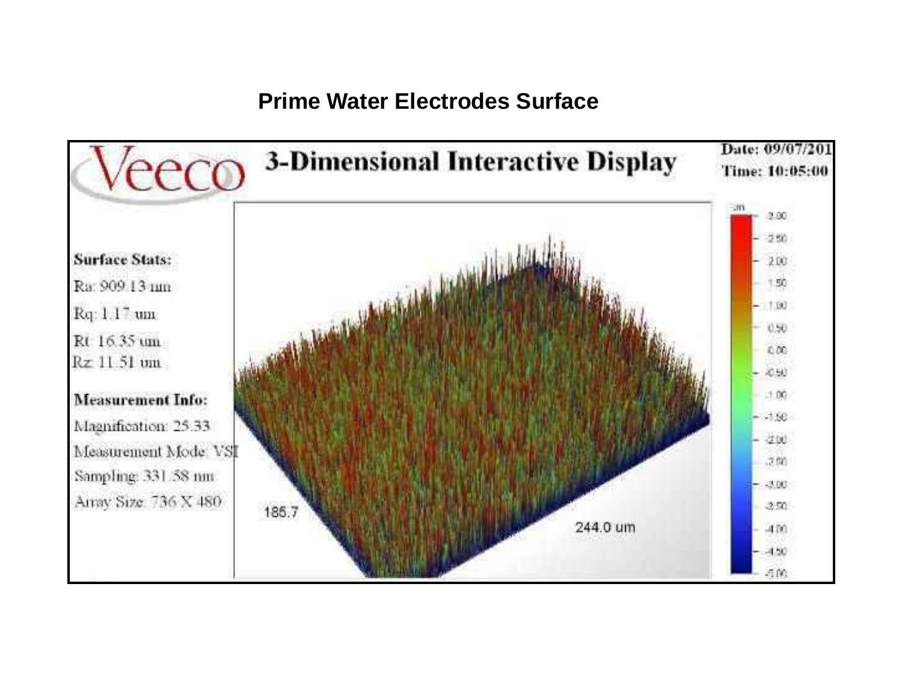### **Prime Water Electrodes Surface**

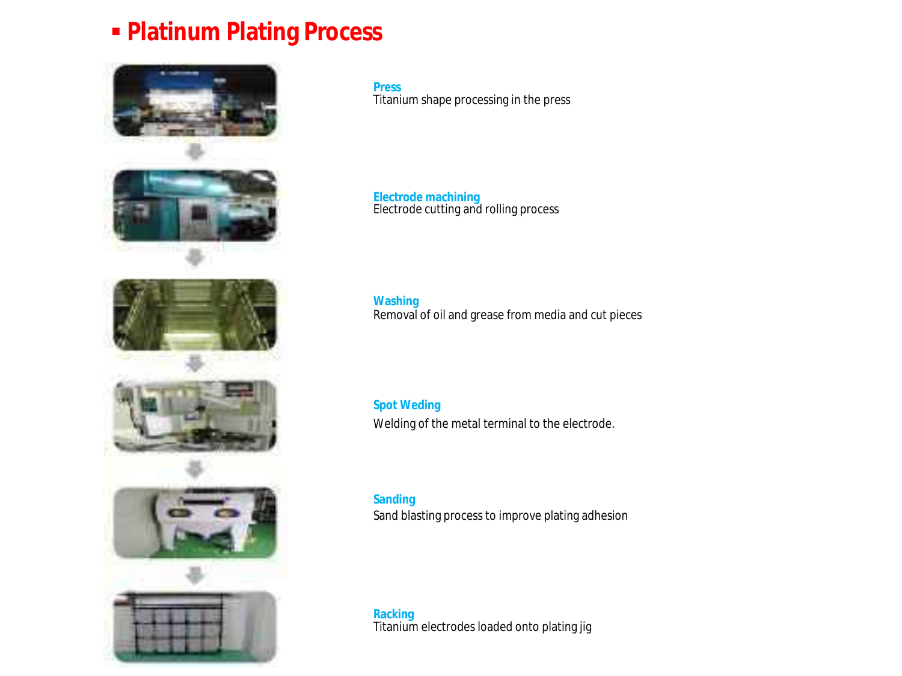## ▪ **Platinum Plating Process**





**Press** Titanium shape processing in the press

**Electrode machining** Electrode cutting and rolling process

**Washing** Removal of oil and grease from media and cut pieces

**Spot Weding** Welding of the metal terminal to the electrode.

**Sanding** Sand blasting process to improve plating adhesion

**Racking** Titanium electrodes loaded onto plating jig